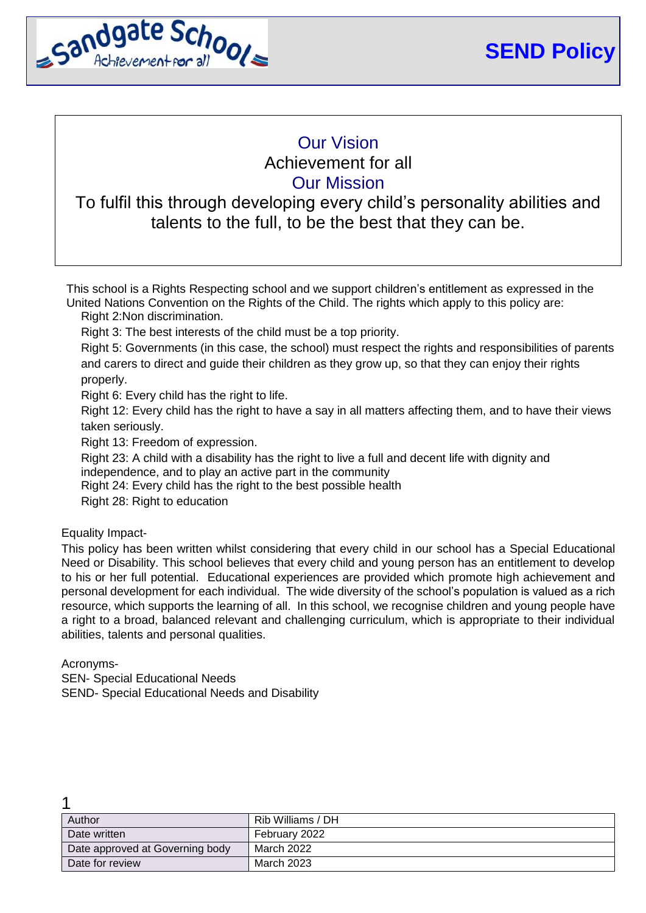

# Our Vision Achievement for all Our Mission

# To fulfil this through developing every child's personality abilities and talents to the full, to be the best that they can be.

This school is a Rights Respecting school and we support children's entitlement as expressed in the United Nations Convention on the Rights of the Child. The rights which apply to this policy are:

Right 2:Non discrimination.

Right 3: The best interests of the child must be a top priority.

Right 5: Governments (in this case, the school) must respect the rights and responsibilities of parents and carers to direct and guide their children as they grow up, so that they can enjoy their rights properly.

Right 6: Every child has the right to life.

Right 12: Every child has the right to have a say in all matters affecting them, and to have their views taken seriously.

Right 13: Freedom of expression.

Right 23: A child with a disability has the right to live a full and decent life with dignity and

independence, and to play an active part in the community

Right 24: Every child has the right to the best possible health

Right 28: Right to education

Equality Impact-

This policy has been written whilst considering that every child in our school has a Special Educational Need or Disability. This school believes that every child and young person has an entitlement to develop to his or her full potential. Educational experiences are provided which promote high achievement and personal development for each individual. The wide diversity of the school's population is valued as a rich resource, which supports the learning of all. In this school, we recognise children and young people have a right to a broad, balanced relevant and challenging curriculum, which is appropriate to their individual abilities, talents and personal qualities.

Acronyms-

1

SEN- Special Educational Needs SEND- Special Educational Needs and Disability

| Author                          | Rib Williams / DH |
|---------------------------------|-------------------|
| Date written                    | February 2022     |
| Date approved at Governing body | March 2022        |
| Date for review                 | March 2023        |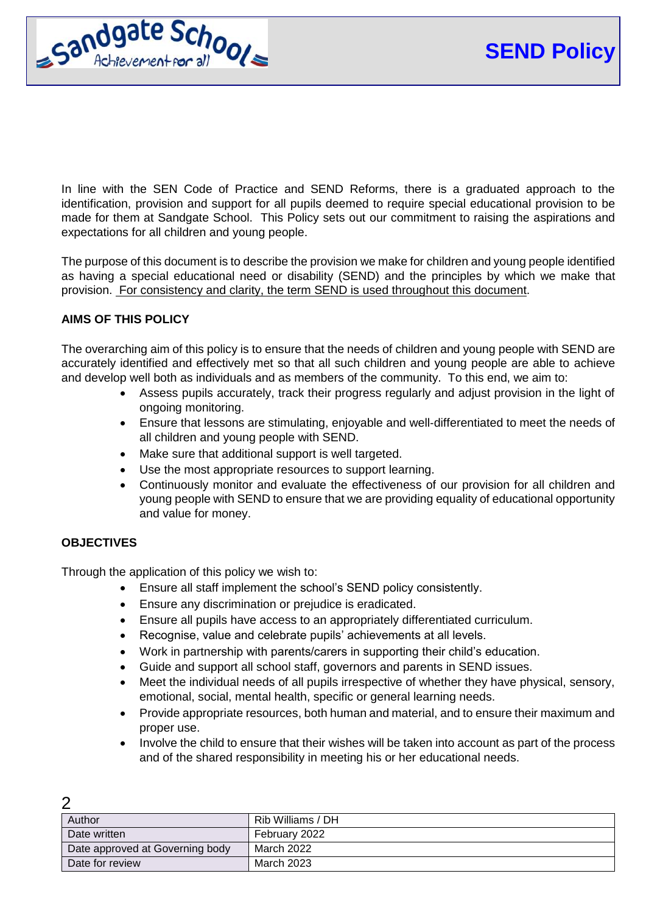

In line with the SEN Code of Practice and SEND Reforms, there is a graduated approach to the identification, provision and support for all pupils deemed to require special educational provision to be made for them at Sandgate School. This Policy sets out our commitment to raising the aspirations and expectations for all children and young people.

The purpose of this document is to describe the provision we make for children and young people identified as having a special educational need or disability (SEND) and the principles by which we make that provision. For consistency and clarity, the term SEND is used throughout this document.

## **AIMS OF THIS POLICY**

The overarching aim of this policy is to ensure that the needs of children and young people with SEND are accurately identified and effectively met so that all such children and young people are able to achieve and develop well both as individuals and as members of the community. To this end, we aim to:

- Assess pupils accurately, track their progress regularly and adjust provision in the light of ongoing monitoring.
- Ensure that lessons are stimulating, enjoyable and well‐differentiated to meet the needs of all children and young people with SEND.
- Make sure that additional support is well targeted.
- Use the most appropriate resources to support learning.
- Continuously monitor and evaluate the effectiveness of our provision for all children and young people with SEND to ensure that we are providing equality of educational opportunity and value for money.

#### **OBJECTIVES**

 $\Omega$ 

Through the application of this policy we wish to:

- Ensure all staff implement the school's SEND policy consistently.
- Ensure any discrimination or prejudice is eradicated.
- Ensure all pupils have access to an appropriately differentiated curriculum.
- Recognise, value and celebrate pupils' achievements at all levels.
- Work in partnership with parents/carers in supporting their child's education.
- Guide and support all school staff, governors and parents in SEND issues.
- Meet the individual needs of all pupils irrespective of whether they have physical, sensory, emotional, social, mental health, specific or general learning needs.
- Provide appropriate resources, both human and material, and to ensure their maximum and proper use.
- Involve the child to ensure that their wishes will be taken into account as part of the process and of the shared responsibility in meeting his or her educational needs.

| Author                          | Rib Williams / DH |  |
|---------------------------------|-------------------|--|
| Date written                    | February 2022     |  |
| Date approved at Governing body | March 2022        |  |
| Date for review                 | March 2023        |  |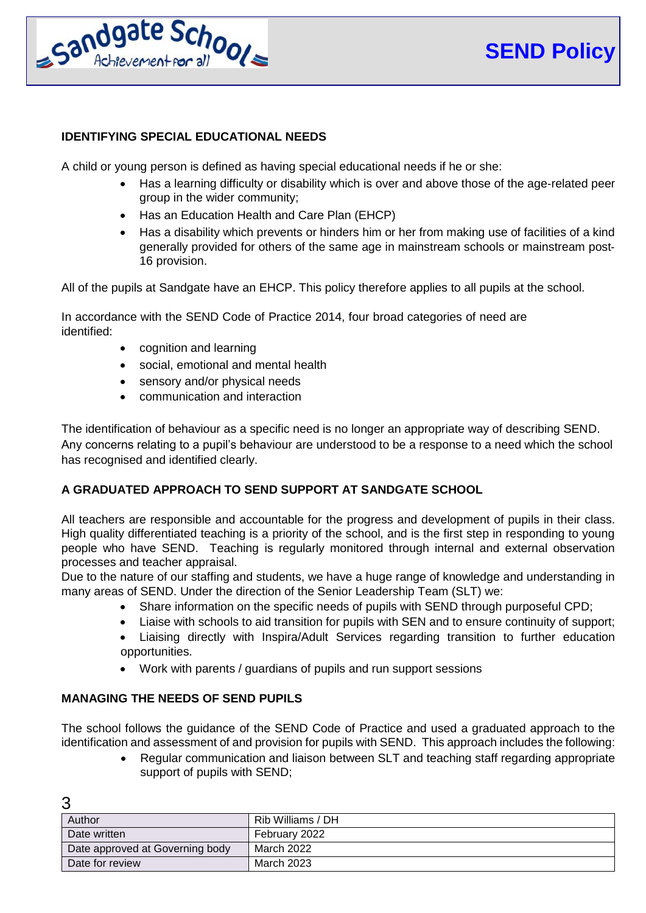

### **IDENTIFYING SPECIAL EDUCATIONAL NEEDS**

A child or young person is defined as having special educational needs if he or she:

- Has a learning difficulty or disability which is over and above those of the age-related peer group in the wider community;
- Has an Education Health and Care Plan (EHCP)
- Has a disability which prevents or hinders him or her from making use of facilities of a kind generally provided for others of the same age in mainstream schools or mainstream post‐ 16 provision.

All of the pupils at Sandgate have an EHCP. This policy therefore applies to all pupils at the school.

In accordance with the SEND Code of Practice 2014, four broad categories of need are identified:

- cognition and learning
- social, emotional and mental health
- sensory and/or physical needs
- communication and interaction

The identification of behaviour as a specific need is no longer an appropriate way of describing SEND. Any concerns relating to a pupil's behaviour are understood to be a response to a need which the school has recognised and identified clearly.

## **A GRADUATED APPROACH TO SEND SUPPORT AT SANDGATE SCHOOL**

All teachers are responsible and accountable for the progress and development of pupils in their class. High quality differentiated teaching is a priority of the school, and is the first step in responding to young people who have SEND. Teaching is regularly monitored through internal and external observation processes and teacher appraisal.

Due to the nature of our staffing and students, we have a huge range of knowledge and understanding in many areas of SEND. Under the direction of the Senior Leadership Team (SLT) we:

- Share information on the specific needs of pupils with SEND through purposeful CPD;
- Liaise with schools to aid transition for pupils with SEN and to ensure continuity of support;
- Liaising directly with Inspira/Adult Services regarding transition to further education opportunities.
- Work with parents / guardians of pupils and run support sessions

#### **MANAGING THE NEEDS OF SEND PUPILS**

The school follows the guidance of the SEND Code of Practice and used a graduated approach to the identification and assessment of and provision for pupils with SEND. This approach includes the following:

 Regular communication and liaison between SLT and teaching staff regarding appropriate support of pupils with SEND;

| ◠                               |                   |
|---------------------------------|-------------------|
| Author                          | Rib Williams / DH |
| Date written                    | February 2022     |
| Date approved at Governing body | March 2022        |
| Date for review                 | March 2023        |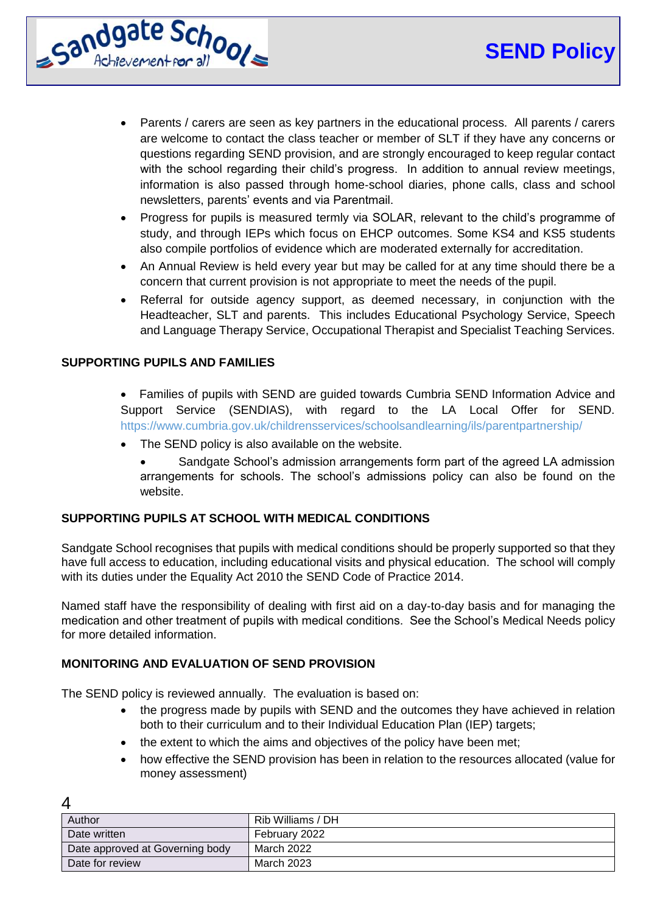

- Parents / carers are seen as key partners in the educational process. All parents / carers are welcome to contact the class teacher or member of SLT if they have any concerns or questions regarding SEND provision, and are strongly encouraged to keep regular contact with the school regarding their child's progress. In addition to annual review meetings, information is also passed through home‐school diaries, phone calls, class and school newsletters, parents' events and via Parentmail.
- Progress for pupils is measured termly via SOLAR, relevant to the child's programme of study, and through IEPs which focus on EHCP outcomes. Some KS4 and KS5 students also compile portfolios of evidence which are moderated externally for accreditation.
- An Annual Review is held every year but may be called for at any time should there be a concern that current provision is not appropriate to meet the needs of the pupil.
- Referral for outside agency support, as deemed necessary, in conjunction with the Headteacher, SLT and parents. This includes Educational Psychology Service, Speech and Language Therapy Service, Occupational Therapist and Specialist Teaching Services.

### **SUPPORTING PUPILS AND FAMILIES**

- Families of pupils with SEND are guided towards Cumbria SEND Information Advice and Support Service (SENDIAS), with regard to the LA Local Offer for SEND. https://www.cumbria.gov.uk/childrensservices/schoolsandlearning/ils/parentpartnership/
- The SEND policy is also available on the website.
	- Sandgate School's admission arrangements form part of the agreed LA admission arrangements for schools. The school's admissions policy can also be found on the website.

#### **SUPPORTING PUPILS AT SCHOOL WITH MEDICAL CONDITIONS**

Sandgate School recognises that pupils with medical conditions should be properly supported so that they have full access to education, including educational visits and physical education. The school will comply with its duties under the Equality Act 2010 the SEND Code of Practice 2014.

Named staff have the responsibility of dealing with first aid on a day‐to‐day basis and for managing the medication and other treatment of pupils with medical conditions. See the School's Medical Needs policy for more detailed information.

#### **MONITORING AND EVALUATION OF SEND PROVISION**

The SEND policy is reviewed annually. The evaluation is based on:

- the progress made by pupils with SEND and the outcomes they have achieved in relation both to their curriculum and to their Individual Education Plan (IEP) targets;
- the extent to which the aims and objectives of the policy have been met;
- how effective the SEND provision has been in relation to the resources allocated (value for money assessment)

| Author                          | Rib Williams / DH |
|---------------------------------|-------------------|
| Date written                    | February 2022     |
| Date approved at Governing body | March 2022        |
| Date for review                 | March 2023        |

 $\boldsymbol{\Lambda}$